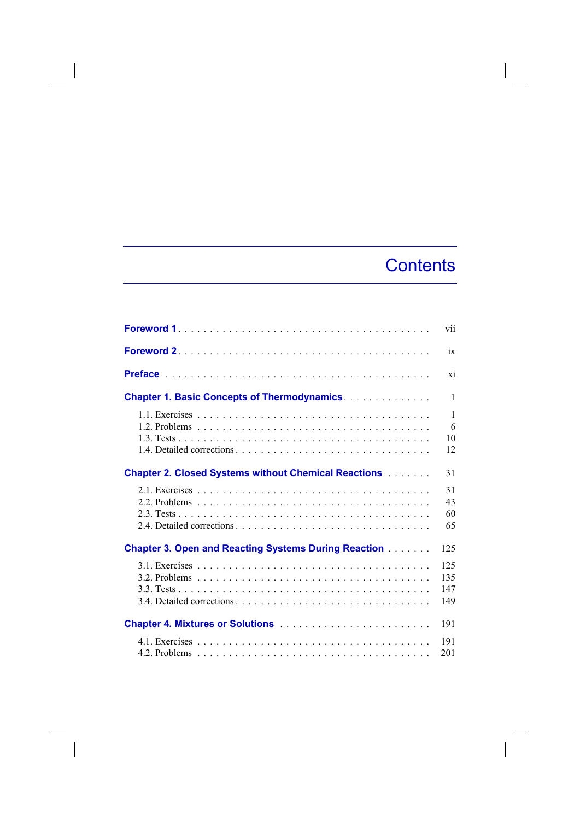## **Contents**

 $\overline{\phantom{a}}$ 

|                                                                   | vii                           |
|-------------------------------------------------------------------|-------------------------------|
|                                                                   | ix                            |
|                                                                   | xi                            |
| <b>Chapter 1. Basic Concepts of Thermodynamics</b>                | $\mathbf{1}$                  |
|                                                                   | $\mathbf{1}$<br>6<br>10<br>12 |
| <b>Chapter 2. Closed Systems without Chemical Reactions [100]</b> | 31                            |
|                                                                   | 31<br>43<br>60<br>65          |
| <b>Chapter 3. Open and Reacting Systems During Reaction</b>       | 125                           |
|                                                                   | 125<br>135<br>147<br>149      |
| <b>Chapter 4. Mixtures or Solutions </b>                          | 191                           |
|                                                                   | 191<br>201                    |

 $\Big|$ 

 $\overline{\phantom{a}}$